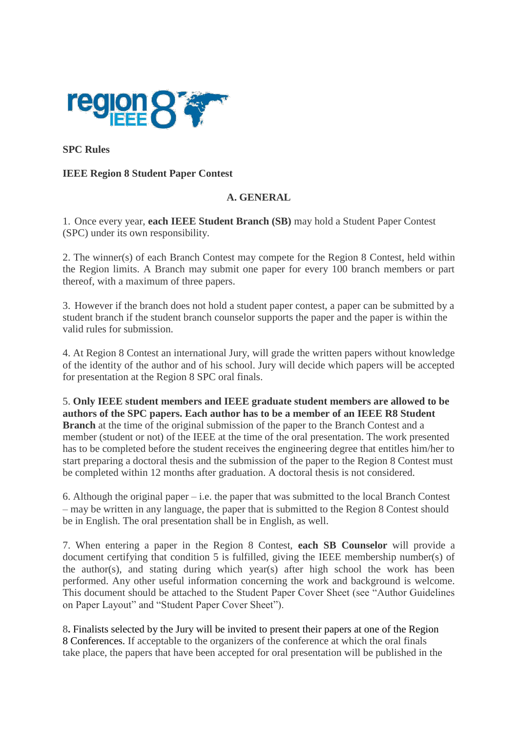

**SPC Rules**

#### **IEEE Region 8 Student Paper Contest**

### **A. GENERAL**

1. Once every year, **each IEEE Student Branch (SB)** may hold a Student Paper Contest (SPC) under its own responsibility.

2. The winner(s) of each Branch Contest may compete for the Region 8 Contest, held within the Region limits. A Branch may submit one paper for every 100 branch members or part thereof, with a maximum of three papers.

3. However if the branch does not hold a student paper contest, a paper can be submitted by a student branch if the student branch counselor supports the paper and the paper is within the valid rules for submission.

4. At Region 8 Contest an international Jury, will grade the written papers without knowledge of the identity of the author and of his school. Jury will decide which papers will be accepted for presentation at the Region 8 SPC oral finals.

5. **Only IEEE student members and IEEE graduate student members are allowed to be authors of the SPC papers. Each author has to be a member of an IEEE R8 Student Branch** at the time of the original submission of the paper to the Branch Contest and a member (student or not) of the IEEE at the time of the oral presentation. The work presented has to be completed before the student receives the engineering degree that entitles him/her to start preparing a doctoral thesis and the submission of the paper to the Region 8 Contest must be completed within 12 months after graduation. A doctoral thesis is not considered.

6. Although the original paper – i.e. the paper that was submitted to the local Branch Contest – may be written in any language, the paper that is submitted to the Region 8 Contest should be in English. The oral presentation shall be in English, as well.

7. When entering a paper in the Region 8 Contest, **each SB Counselor** will provide a document certifying that condition 5 is fulfilled, giving the IEEE membership number(s) of the author(s), and stating during which year(s) after high school the work has been performed. Any other useful information concerning the work and background is welcome. This document should be attached to the Student Paper Cover Sheet (see "Author Guidelines on Paper Layout" and "Student Paper Cover Sheet").

8**.** Finalists selected by the Jury will be invited to present their papers at one of the Region 8 Conferences. If acceptable to the organizers of the conference at which the oral finals take place, the papers that have been accepted for oral presentation will be published in the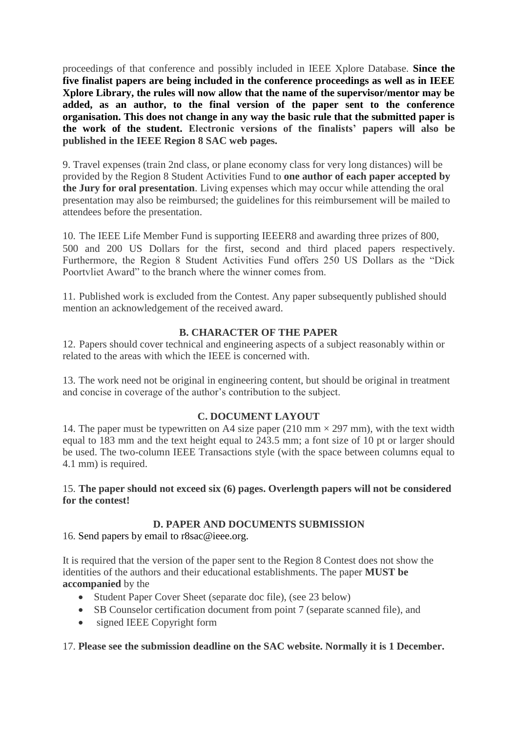proceedings of that conference and possibly included in IEEE Xplore Database. **Since the five finalist papers are being included in the conference proceedings as well as in IEEE Xplore Library, the rules will now allow that the name of the supervisor/mentor may be added, as an author, to the final version of the paper sent to the conference organisation. This does not change in any way the basic rule that the submitted paper is the work of the student. Electronic versions of the finalists' papers will also be published in the IEEE Region 8 SAC web pages.**

9. Travel expenses (train 2nd class, or plane economy class for very long distances) will be provided by the Region 8 Student Activities Fund to **one author of each paper accepted by the Jury for oral presentation**. Living expenses which may occur while attending the oral presentation may also be reimbursed; the guidelines for this reimbursement will be mailed to attendees before the presentation.

10. The IEEE Life Member Fund is supporting IEEER8 and awarding three prizes of 800, 500 and 200 US Dollars for the first, second and third placed papers respectively. Furthermore, the Region 8 Student Activities Fund offers 250 US Dollars as the "Dick Poortvliet Award" to the branch where the winner comes from.

11. Published work is excluded from the Contest. Any paper subsequently published should mention an acknowledgement of the received award.

### **B. CHARACTER OF THE PAPER**

12. Papers should cover technical and engineering aspects of a subject reasonably within or related to the areas with which the IEEE is concerned with.

13. The work need not be original in engineering content, but should be original in treatment and concise in coverage of the author's contribution to the subject.

#### **C. DOCUMENT LAYOUT**

14. The paper must be typewritten on A4 size paper (210 mm  $\times$  297 mm), with the text width equal to 183 mm and the text height equal to 243.5 mm; a font size of 10 pt or larger should be used. The two-column IEEE Transactions style (with the space between columns equal to 4.1 mm) is required.

#### 15. **The paper should not exceed six (6) pages. Overlength papers will not be considered for the contest!**

### **D. PAPER AND DOCUMENTS SUBMISSION**

16. Send papers by email to r8sac@ieee.org.

It is required that the version of the paper sent to the Region 8 Contest does not show the identities of the authors and their educational establishments. The paper **MUST be accompanied** by the

- Student Paper Cover Sheet (separate doc file), (see 23 below)
- SB Counselor certification document from point 7 (separate scanned file), and
- signed IEEE Copyright form

#### 17. **Please see the submission deadline on the SAC website. Normally it is 1 December.**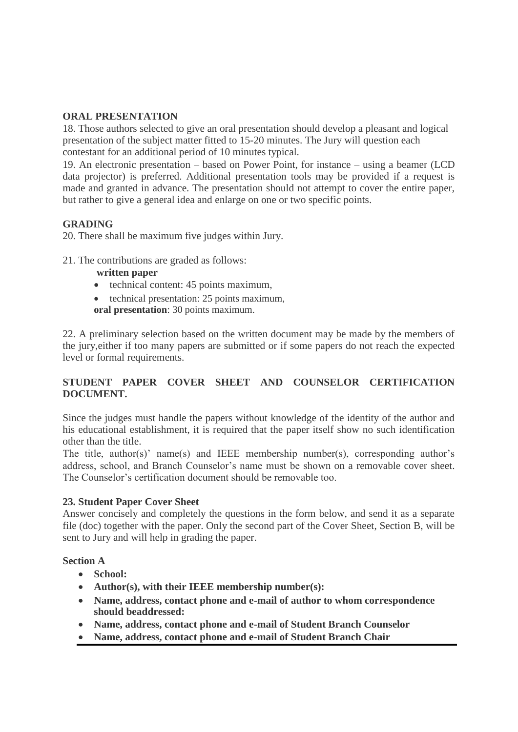# **ORAL PRESENTATION**

18. Those authors selected to give an oral presentation should develop a pleasant and logical presentation of the subject matter fitted to 15-20 minutes. The Jury will question each contestant for an additional period of 10 minutes typical.

19. An electronic presentation – based on Power Point, for instance – using a beamer (LCD data projector) is preferred. Additional presentation tools may be provided if a request is made and granted in advance. The presentation should not attempt to cover the entire paper, but rather to give a general idea and enlarge on one or two specific points.

### **GRADING**

20. There shall be maximum five judges within Jury.

21. The contributions are graded as follows:

#### **written paper**

- technical content: 45 points maximum,
- technical presentation: 25 points maximum, **oral presentation**: 30 points maximum.

22. A preliminary selection based on the written document may be made by the members of the jury,either if too many papers are submitted or if some papers do not reach the expected level or formal requirements.

# **STUDENT PAPER COVER SHEET AND COUNSELOR CERTIFICATION DOCUMENT.**

Since the judges must handle the papers without knowledge of the identity of the author and his educational establishment, it is required that the paper itself show no such identification other than the title.

The title, author(s)' name(s) and IEEE membership number(s), corresponding author's address, school, and Branch Counselor's name must be shown on a removable cover sheet. The Counselor's certification document should be removable too.

### **23. Student Paper Cover Sheet**

Answer concisely and completely the questions in the form below, and send it as a separate file (doc) together with the paper. Only the second part of the Cover Sheet, Section B, will be sent to Jury and will help in grading the paper.

#### **Section A**

- **School:**
- **Author(s), with their IEEE membership number(s):**
- **Name, address, contact phone and e-mail of author to whom correspondence should beaddressed:**
- **Name, address, contact phone and e-mail of Student Branch Counselor**
- **Name, address, contact phone and e-mail of Student Branch Chair**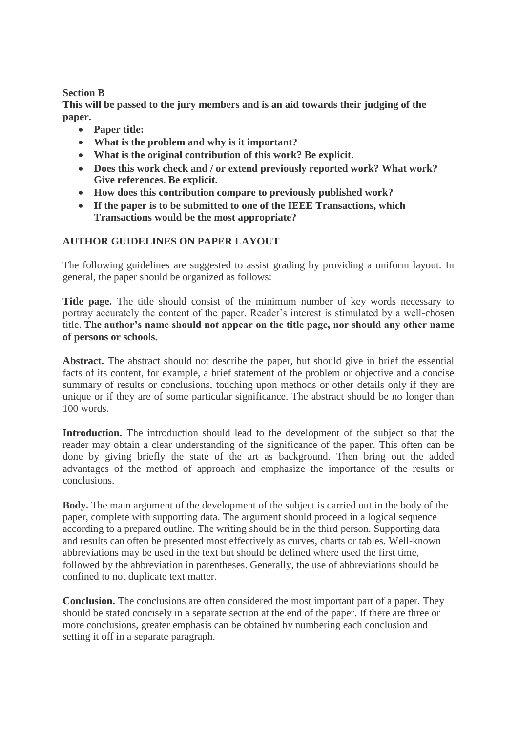#### **Section B**

**This will be passed to the jury members and is an aid towards their judging of the paper.**

- **Paper title:**
- **What is the problem and why is it important?**
- **What is the original contribution of this work? Be explicit.**
- **Does this work check and / or extend previously reported work? What work? Give references. Be explicit.**
- **How does this contribution compare to previously published work?**
- **If the paper is to be submitted to one of the IEEE Transactions, which Transactions would be the most appropriate?**

### **AUTHOR GUIDELINES ON PAPER LAYOUT**

The following guidelines are suggested to assist grading by providing a uniform layout. In general, the paper should be organized as follows:

**Title page.** The title should consist of the minimum number of key words necessary to portray accurately the content of the paper. Reader's interest is stimulated by a well-chosen title. **The author's name should not appear on the title page, nor should any other name of persons or schools.**

**Abstract.** The abstract should not describe the paper, but should give in brief the essential facts of its content, for example, a brief statement of the problem or objective and a concise summary of results or conclusions, touching upon methods or other details only if they are unique or if they are of some particular significance. The abstract should be no longer than 100 words.

Introduction. The introduction should lead to the development of the subject so that the reader may obtain a clear understanding of the significance of the paper. This often can be done by giving briefly the state of the art as background. Then bring out the added advantages of the method of approach and emphasize the importance of the results or conclusions.

**Body.** The main argument of the development of the subject is carried out in the body of the paper, complete with supporting data. The argument should proceed in a logical sequence according to a prepared outline. The writing should be in the third person. Supporting data and results can often be presented most effectively as curves, charts or tables. Well-known abbreviations may be used in the text but should be defined where used the first time, followed by the abbreviation in parentheses. Generally, the use of abbreviations should be confined to not duplicate text matter.

**Conclusion.** The conclusions are often considered the most important part of a paper. They should be stated concisely in a separate section at the end of the paper. If there are three or more conclusions, greater emphasis can be obtained by numbering each conclusion and setting it off in a separate paragraph.